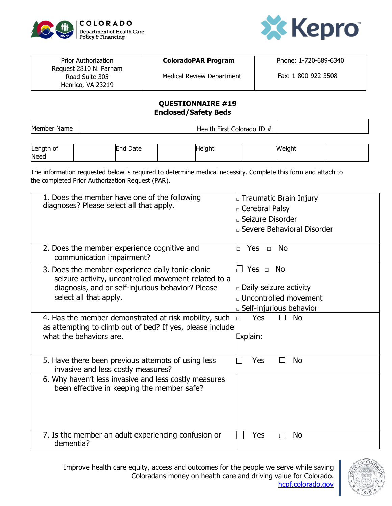



| <b>Prior Authorization</b>                                    | <b>ColoradoPAR Program</b>       | Phone: 1-720-689-6340 |
|---------------------------------------------------------------|----------------------------------|-----------------------|
| Request 2810 N. Parham<br>Road Suite 305<br>Henrico, VA 23219 | <b>Medical Review Department</b> | Fax: 1-800-922-3508   |

## **QUESTIONNAIRE #19 Enclosed/Safety Beds**

Member Name Health First Colorado ID #

| Length of | End Date | <b>IHeight</b> | Weight |  |
|-----------|----------|----------------|--------|--|
| Need      |          |                |        |  |

The information requested below is required to determine medical necessity. Complete this form and attach to the completed Prior Authorization Request (PAR).

| 1. Does the member have one of the following<br>diagnoses? Please select all that apply. | $\Box$ Traumatic Brain Injury       |
|------------------------------------------------------------------------------------------|-------------------------------------|
|                                                                                          | G Cerebral Palsy                    |
|                                                                                          | $\mathbin\Box$ Seizure Disorder     |
|                                                                                          | <b>D</b> Severe Behavioral Disorder |
|                                                                                          |                                     |
| 2. Does the member experience cognitive and                                              | Yes $\Box$<br><b>No</b>             |
| communication impairment?                                                                |                                     |
| 3. Does the member experience daily tonic-clonic                                         | <b>No</b><br>Yes $\Box$             |
| seizure activity, uncontrolled movement related to a                                     |                                     |
| diagnosis, and or self-injurious behavior? Please<br>select all that apply.              | $\Box$ Daily seizure activity       |
|                                                                                          | $\Box$ Uncontrolled movement        |
|                                                                                          | $\Box$ Self-injurious behavior      |
| 4. Has the member demonstrated at risk mobility, such                                    | <b>Yes</b><br><b>No</b><br>П        |
| as attempting to climb out of bed? If yes, please include                                |                                     |
| what the behaviors are.                                                                  | Explain:                            |
|                                                                                          |                                     |
| 5. Have there been previous attempts of using less                                       | Yes<br>No<br>П                      |
| invasive and less costly measures?                                                       |                                     |
| 6. Why haven't less invasive and less costly measures                                    |                                     |
| been effective in keeping the member safe?                                               |                                     |
|                                                                                          |                                     |
|                                                                                          |                                     |
|                                                                                          |                                     |
|                                                                                          |                                     |
| 7. Is the member an adult experiencing confusion or<br>dementia?                         | Yes<br><b>No</b>                    |
|                                                                                          |                                     |